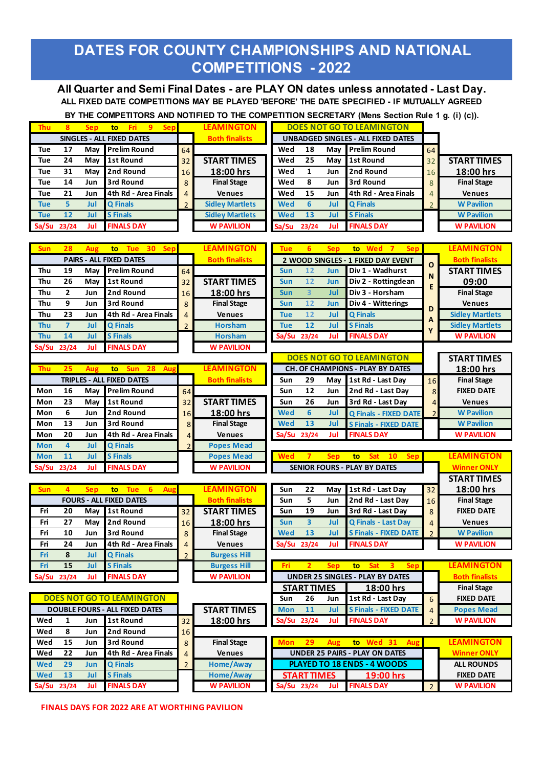## **DATES FOR COUNTY CHAMPIONSHIPS AND NATIONAL COMPETITIONS - 2022**

**All Quarter and Semi Final Dates - are PLAY ON dates unless annotated - Last Day. ALL FIXED DATE COMPETITIONS MAY BE PLAYED 'BEFORE' THE DATE SPECIFIED - IF MUTUALLY AGREED** 

 **BY THE COMPETITORS AND NOTIFIED TO THE COMPETITION SECRETARY (Mens Section Rule 1 g. (i) (c)).**

| Thu l      | 8     | <b>Sep</b> | -Fri<br>to:               | 9 | <b>Sep</b> |                | <b>LEAMINGTON</b>      |            |       |     | <b>DOES NOT GO TO LEAMINGTON</b>          |    |                    |
|------------|-------|------------|---------------------------|---|------------|----------------|------------------------|------------|-------|-----|-------------------------------------------|----|--------------------|
|            |       |            | SINGLES - ALL FIXED DATES |   |            |                | <b>Both finalists</b>  |            |       |     | <b>UNBADGED SINGLES - ALL FIXED DATES</b> |    |                    |
| <b>Tue</b> | 17    | Mav        | <b>Prelim Round</b>       |   |            | 64             |                        | Wed        | 18    | Mav | <b>Prelim Round</b>                       | 64 |                    |
| Tue        | 24    | May        | 1st Round                 |   |            | 32             | <b>START TIMES</b>     | Wed        | 25    | May | <b>1st Round</b>                          | 32 | <b>START TIMES</b> |
| <b>Tue</b> | 31    | May        | 2nd Round                 |   |            | 16             | 18:00 hrs              | Wed        |       | Jun | 2nd Round                                 | 16 | 18:00 hrs          |
| Tue        | 14    | Jun        | 3rd Round                 |   |            | 8              | <b>Final Stage</b>     | Wed        | 8     | Jun | 3rd Round                                 | 8  | <b>Final Stage</b> |
| Tue        | 21    | Jun        | 4th Rd - Area Finals      |   |            | 4              | <b>Venues</b>          | Wed        | 15    | Jun | 4th Rd - Area Finals                      | 4  | <b>Venues</b>      |
| <b>Tue</b> |       | Jul        | <b>Q</b> Finals           |   |            | $\overline{2}$ | <b>Sidley Martlets</b> | <b>Wed</b> | 6     | Jul | <b>Q</b> Finals                           |    | <b>W</b> Pavilion  |
| <b>Tue</b> | 12    | Jul        | <b>S</b> Finals           |   |            |                | <b>Sidley Martlets</b> | <b>Wed</b> | 13    | Jul | <b>S</b> Finals                           |    | <b>W</b> Pavilion  |
| Sa/Su      | 23/24 | Jul        | <b>FINALS DAY</b>         |   |            |                | <b>W PAVILION</b>      | Sa/Su      | 23/24 | Jul | <b>FINALS DAY</b>                         |    | <b>W PAVILION</b>  |

| <b>Sun</b> | 28             | Aug        | 30<br><b>Sep</b><br><b>Tue</b><br>to      |                | <b>LEAMINGTON</b>     | <b>Tue</b>  | 6                       | <b>Sep</b> | to Wed 7<br><b>Sep</b>                                    |                | <b>LEAMINGTON</b>      |
|------------|----------------|------------|-------------------------------------------|----------------|-----------------------|-------------|-------------------------|------------|-----------------------------------------------------------|----------------|------------------------|
|            |                |            | <b>PAIRS - ALL FIXED DATES</b>            |                | <b>Both finalists</b> |             |                         |            | 2 WOOD SINGLES - 1 FIXED DAY EVENT                        | $\Omega$       | <b>Both finalists</b>  |
| Thu        | 19             | May        | <b>Prelim Round</b>                       | 64             |                       | Sun         | 12                      | Jun        | Div 1 - Wadhurst                                          | N              | <b>START TIMES</b>     |
| Thu        | 26             | May        | <b>1st Round</b>                          | 32             | <b>START TIMES</b>    | Sun         | 12                      | Jun        | Div 2 - Rottingdean                                       |                | 09:00                  |
| Thu        | $\mathbf{2}$   | Jun        | 2nd Round                                 | 16             | 18:00 hrs             | Sun         | $\overline{3}$          | Jul        | Div 3 - Horsham                                           | E              | <b>Final Stage</b>     |
| Thu        | 9              | Jun        | 3rd Round                                 | 8              | <b>Final Stage</b>    | <b>Sun</b>  | 12                      | Jun        | Div 4 - Witterings                                        | D              | <b>Venues</b>          |
| Thu        | 23             | Jun        | 4th Rd - Area Finals                      | 4              | <b>Venues</b>         | <b>Tue</b>  | 12                      | Jul        | <b>Q</b> Finals                                           |                | <b>Sidley Martlets</b> |
| Thu        | $\overline{7}$ | Jul        | <b>Q</b> Finals                           | $\overline{2}$ | <b>Horsham</b>        | <b>Tue</b>  | 12                      | Jul        | <b>S</b> Finals                                           | A<br>Υ         | <b>Sidley Martlets</b> |
| Thu        | 14             | Jul        | <b>S</b> Finals                           |                | <b>Horsham</b>        | Sa/Su       | 23/24                   | Jul        | <b>FINALS DAY</b>                                         |                | <b>W PAVILION</b>      |
| Sa/Su      | 23/24          | Jul        | <b>FINALS DAY</b>                         |                | <b>W PAVILION</b>     |             |                         |            |                                                           |                |                        |
|            |                |            |                                           |                |                       |             |                         |            | <b>DOES NOT GO TO LEAMINGTON</b>                          |                | <b>START TIMES</b>     |
| Thu        | 25             | Aug        | Aus<br><b>Sun</b><br>28<br>to             |                | <b>LEAMINGTON</b>     |             |                         |            | <b>CH. OF CHAMPIONS - PLAY BY DATES</b>                   |                | 18:00 hrs              |
|            |                |            | <b>TRIPLES - ALL FIXED DATES</b>          |                | <b>Both finalists</b> | Sun         | 29                      | Mav        | 1st Rd - Last Day                                         | 16             | <b>Final Stage</b>     |
| Mon        | 16             | May        | <b>Prelim Round</b>                       | 64             |                       | Sun         | 12                      | Jun        | 2nd Rd - Last Day                                         | 8              | <b>FIXED DATE</b>      |
| Mon        | 23             | May        | <b>1st Round</b>                          | 32             | <b>START TIMES</b>    | Sun         | 26                      | Jun        | 3rd Rd - Last Day                                         | 4              | <b>Venues</b>          |
| Mon        | 6              | Jun        | 2nd Round                                 | 16             | 18:00 hrs             | <b>Wed</b>  | 6                       | Jul        | <b>Q Finals - FIXED DATE</b>                              | $\overline{2}$ | <b>W</b> Pavilion      |
| Mon        | 13             | Jun        | 3rd Round                                 | 8              | <b>Final Stage</b>    | <b>Wed</b>  | 13                      | Jul        | <b>S Finals - FIXED DATE</b>                              |                | <b>W</b> Pavilion      |
| Mon        | 20             | Jun        | 4th Rd - Area Finals                      | 4              | <b>Venues</b>         | Sa/Su 23/24 |                         | Jul        | <b>FINALS DAY</b>                                         |                | <b>W PAVILION</b>      |
| <b>Mon</b> | $\overline{4}$ | Jul        | <b>Q</b> Finals                           | $\overline{2}$ | <b>Popes Mead</b>     |             |                         |            |                                                           |                |                        |
| <b>Mon</b> | 11             | Jul        | <b>S</b> Finals                           |                | <b>Popes Mead</b>     | <b>Wed</b>  | 7                       | <b>Sep</b> | 10<br>to<br><b>Sat</b><br><b>Sep</b>                      |                | <b>LEAMINGTON</b>      |
| Sa/Su      | 23/24          | Jul        | <b>FINALS DAY</b>                         |                | <b>W PAVILION</b>     |             |                         |            | <b>SENIOR FOURS - PLAY BY DATES</b>                       |                | <b>Winner ONLY</b>     |
|            |                |            |                                           |                |                       |             |                         |            |                                                           |                | <b>START TIMES</b>     |
| <b>Sun</b> | $\overline{4}$ | <b>Sep</b> | 6 <sup>1</sup><br>Aus<br><b>Tue</b><br>to |                | <b>LEAMINGTON</b>     | Sun         | 22                      | Mav        | 1st Rd - Last Day                                         | 32             | 18:00 hrs              |
|            |                |            | <b>FOURS - ALL FIXED DATES</b>            |                | <b>Both finalists</b> | Sun         | 5                       | Jun        | 2nd Rd - Last Day                                         | 16             | <b>Final Stage</b>     |
| Fri        | 20             | May        | <b>1st Round</b>                          | 32             | <b>START TIMES</b>    | Sun         | 19                      | Jun        | 3rd Rd - Last Day                                         | 8              | <b>FIXED DATE</b>      |
| Fri        | 27             | May        | 2nd Round                                 | 16             | 18:00 hrs             | Sun         | $\overline{\mathbf{3}}$ | Jul        | <b>Q Finals - Last Day</b>                                | 4              | <b>Venues</b>          |
| Fri        | 10             | Jun        | 3rd Round                                 | 8              | <b>Final Stage</b>    | <b>Wed</b>  | 13                      | Jul        | <b>S Finals - FIXED DATE</b>                              | $\overline{2}$ | <b>W</b> Pavilion      |
| Fri        | 24             | Jun        | 4th Rd - Area Finals                      | 4              | <b>Venues</b>         | Sa/Su       | 23/24                   | Jul        | <b>FINALS DAY</b>                                         |                | <b>W PAVILION</b>      |
| Fri        | 8              | Jul        | <b>Q</b> Finals                           | $\overline{2}$ | <b>Burgess Hill</b>   |             |                         |            |                                                           |                |                        |
| Fri        | 15             | Jul        | <b>S</b> Finals                           |                | <b>Burgess Hill</b>   | Fri         |                         | <b>Sep</b> | <b>Sat</b><br>$\overline{\mathbf{3}}$<br><b>Sep</b><br>to |                | <b>LEAMINGTON</b>      |
| Sa/Su      | 23/24          | Jul        | <b>FINALS DAY</b>                         |                | <b>W PAVILION</b>     |             |                         |            | <b>UNDER 25 SINGLES - PLAY BY DATES</b>                   |                | <b>Both finalists</b>  |
|            |                |            |                                           |                |                       |             | <b>START TIMES</b>      |            | 18:00 hrs                                                 |                | <b>Final Stage</b>     |

|                                       |       |      |                      |                    |                    |       | _ _ _                                 |                              | -------           |                    |                   |
|---------------------------------------|-------|------|----------------------|--------------------|--------------------|-------|---------------------------------------|------------------------------|-------------------|--------------------|-------------------|
| <b>DOES NOT GO TO LEAMINGTON</b>      |       |      |                      |                    | Sun                | 26    | Jun                                   | 1st Rd - Last Day            | 6                 | <b>FIXED DATE</b>  |                   |
| <b>DOUBLE FOURS - ALL FIXED DATES</b> |       |      |                      | <b>START TIMES</b> | <b>Mon</b>         | 11    | Jul                                   | <b>S Finals - FIXED DATE</b> | 4                 | <b>Popes Mead</b>  |                   |
| Wed                                   |       | Jun  | 1st Round            | 32 <sub>h</sub>    | 18:00 hrs          | Sa/Su | 23/24                                 | Jul                          | <b>FINALS DAY</b> |                    | <b>W PAVILION</b> |
| Wed                                   |       | Jun  | 2nd Round            | 16                 |                    |       |                                       |                              |                   |                    |                   |
| Wed                                   | 15    | Jun  | 3rd Round            | 8                  | <b>Final Stage</b> |       | 29                                    |                              | Wed 31 Aug<br>to  |                    | <b>LEAMINGTON</b> |
| Wed                                   | 22    | Jun  | 4th Rd - Area Finals | 4                  | <b>Venues</b>      |       | <b>UNDER 25 PAIRS - PLAY ON DATES</b> |                              |                   | <b>Winner ONLY</b> |                   |
| <b>Wed</b>                            | 29    | Jun. | <b>Q</b> Finals      |                    | Home/Away          |       | <b>PLAYED TO 18 ENDS - 4 WOODS</b>    |                              |                   |                    | <b>ALL ROUNDS</b> |
| <b>Wed</b>                            | 13    | Jul  | <b>S</b> Finals      |                    | Home/Away          |       | <b>START TIMES</b>                    |                              | 19:00 hrs         |                    | <b>FIXED DATE</b> |
| Sa/Su                                 | 23/24 | Jul  | <b>FINALS DAY</b>    |                    | <b>W PAVILION</b>  | Sa/Su | 23/24                                 | Jul                          | <b>FINALS DAY</b> |                    | <b>W PAVILION</b> |

**FINALS DAYS FOR 2022 ARE AT WORTHING PAVILION**